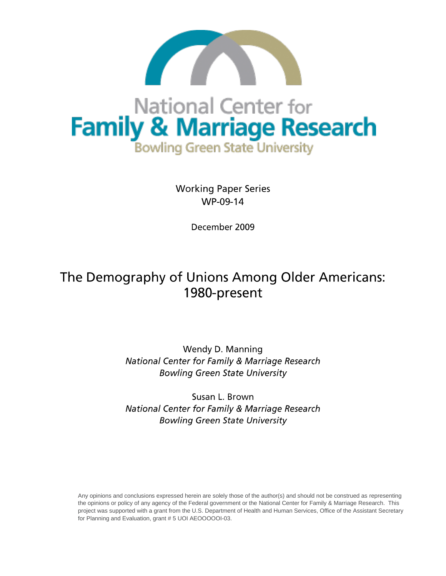

# National Center for **Family & Marriage Research Bowling Green State University**

**Working Paper Series** WP-09-14

December 2009

## The Demography of Unions Among Older Americans: 1980-present

Wendy D. Manning National Center for Family & Marriage Research **Bowling Green State University** 

Susan L. Brown National Center for Family & Marriage Research **Bowling Green State University** 

Any opinions and conclusions expressed herein are solely those of the author(s) and should not be construed as representing the opinions or policy of any agency of the Federal government or the National Center for Family & Marriage Research. This project was supported with a grant from the U.S. Department of Health and Human Services, Office of the Assistant Secretary for Planning and Evaluation, grant # 5 UOI AEOOOOOI-03.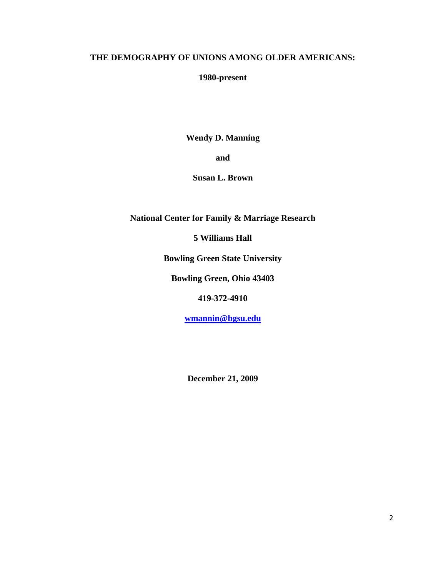## **THE DEMOGRAPHY OF UNIONS AMONG OLDER AMERICANS:**

## **1980-present**

**Wendy D. Manning**

**and**

**Susan L. Brown**

**National Center for Family & Marriage Research**

**5 Williams Hall**

**Bowling Green State University**

**Bowling Green, Ohio 43403**

**419-372-4910**

**[wmannin@bgsu.edu](mailto:wmannin@bgsu.edu)**

**December 21, 2009**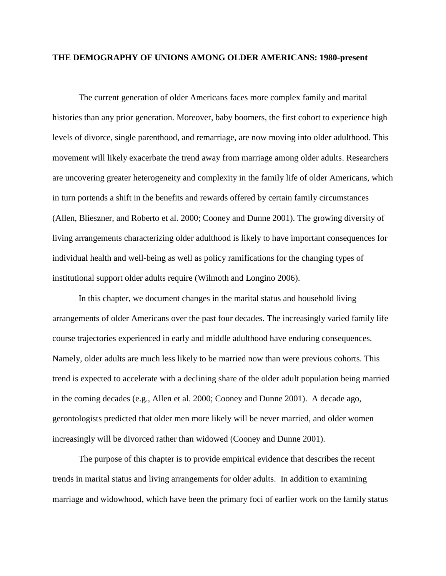#### **THE DEMOGRAPHY OF UNIONS AMONG OLDER AMERICANS: 1980-present**

The current generation of older Americans faces more complex family and marital histories than any prior generation. Moreover, baby boomers, the first cohort to experience high levels of divorce, single parenthood, and remarriage, are now moving into older adulthood. This movement will likely exacerbate the trend away from marriage among older adults. Researchers are uncovering greater heterogeneity and complexity in the family life of older Americans, which in turn portends a shift in the benefits and rewards offered by certain family circumstances (Allen, Blieszner, and Roberto et al. 2000; Cooney and Dunne 2001). The growing diversity of living arrangements characterizing older adulthood is likely to have important consequences for individual health and well-being as well as policy ramifications for the changing types of institutional support older adults require (Wilmoth and Longino 2006).

In this chapter, we document changes in the marital status and household living arrangements of older Americans over the past four decades. The increasingly varied family life course trajectories experienced in early and middle adulthood have enduring consequences. Namely, older adults are much less likely to be married now than were previous cohorts. This trend is expected to accelerate with a declining share of the older adult population being married in the coming decades (e.g., Allen et al. 2000; Cooney and Dunne 2001). A decade ago, gerontologists predicted that older men more likely will be never married, and older women increasingly will be divorced rather than widowed (Cooney and Dunne 2001).

The purpose of this chapter is to provide empirical evidence that describes the recent trends in marital status and living arrangements for older adults. In addition to examining marriage and widowhood, which have been the primary foci of earlier work on the family status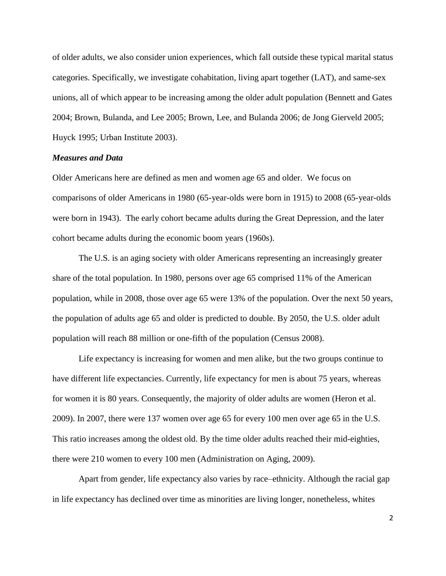of older adults, we also consider union experiences, which fall outside these typical marital status categories. Specifically, we investigate cohabitation, living apart together (LAT), and same-sex unions, all of which appear to be increasing among the older adult population (Bennett and Gates 2004; Brown, Bulanda, and Lee 2005; Brown, Lee, and Bulanda 2006; de Jong Gierveld 2005; Huyck 1995; Urban Institute 2003).

#### *Measures and Data*

Older Americans here are defined as men and women age 65 and older. We focus on comparisons of older Americans in 1980 (65-year-olds were born in 1915) to 2008 (65-year-olds were born in 1943). The early cohort became adults during the Great Depression, and the later cohort became adults during the economic boom years (1960s).

The U.S. is an aging society with older Americans representing an increasingly greater share of the total population. In 1980, persons over age 65 comprised 11% of the American population, while in 2008, those over age 65 were 13% of the population. Over the next 50 years, the population of adults age 65 and older is predicted to double. By 2050, the U.S. older adult population will reach 88 million or one-fifth of the population (Census 2008).

Life expectancy is increasing for women and men alike, but the two groups continue to have different life expectancies. Currently, life expectancy for men is about 75 years, whereas for women it is 80 years. Consequently, the majority of older adults are women (Heron et al. 2009). In 2007, there were 137 women over age 65 for every 100 men over age 65 in the U.S. This ratio increases among the oldest old. By the time older adults reached their mid-eighties, there were 210 women to every 100 men (Administration on Aging, 2009).

Apart from gender, life expectancy also varies by race–ethnicity. Although the racial gap in life expectancy has declined over time as minorities are living longer, nonetheless, whites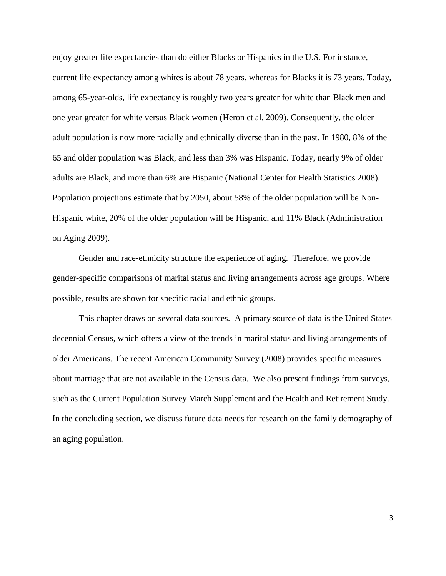enjoy greater life expectancies than do either Blacks or Hispanics in the U.S. For instance, current life expectancy among whites is about 78 years, whereas for Blacks it is 73 years. Today, among 65-year-olds, life expectancy is roughly two years greater for white than Black men and one year greater for white versus Black women (Heron et al. 2009). Consequently, the older adult population is now more racially and ethnically diverse than in the past. In 1980, 8% of the 65 and older population was Black, and less than 3% was Hispanic. Today, nearly 9% of older adults are Black, and more than 6% are Hispanic (National Center for Health Statistics 2008). Population projections estimate that by 2050, about 58% of the older population will be Non-Hispanic white, 20% of the older population will be Hispanic, and 11% Black (Administration on Aging 2009).

Gender and race-ethnicity structure the experience of aging. Therefore, we provide gender-specific comparisons of marital status and living arrangements across age groups. Where possible, results are shown for specific racial and ethnic groups.

This chapter draws on several data sources. A primary source of data is the United States decennial Census, which offers a view of the trends in marital status and living arrangements of older Americans. The recent American Community Survey (2008) provides specific measures about marriage that are not available in the Census data. We also present findings from surveys, such as the Current Population Survey March Supplement and the Health and Retirement Study. In the concluding section, we discuss future data needs for research on the family demography of an aging population.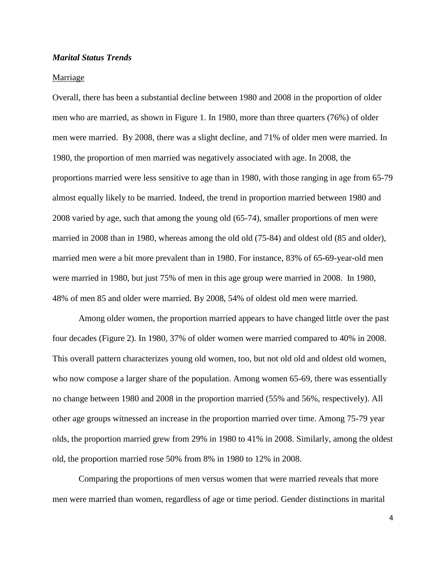#### *Marital Status Trends*

#### Marriage

Overall, there has been a substantial decline between 1980 and 2008 in the proportion of older men who are married, as shown in Figure 1. In 1980, more than three quarters (76%) of older men were married. By 2008, there was a slight decline, and 71% of older men were married. In 1980, the proportion of men married was negatively associated with age. In 2008, the proportions married were less sensitive to age than in 1980, with those ranging in age from 65-79 almost equally likely to be married. Indeed, the trend in proportion married between 1980 and 2008 varied by age, such that among the young old (65-74), smaller proportions of men were married in 2008 than in 1980, whereas among the old old (75-84) and oldest old (85 and older), married men were a bit more prevalent than in 1980. For instance, 83% of 65-69-year-old men were married in 1980, but just 75% of men in this age group were married in 2008. In 1980, 48% of men 85 and older were married. By 2008, 54% of oldest old men were married.

Among older women, the proportion married appears to have changed little over the past four decades (Figure 2). In 1980, 37% of older women were married compared to 40% in 2008. This overall pattern characterizes young old women, too, but not old old and oldest old women, who now compose a larger share of the population. Among women 65-69, there was essentially no change between 1980 and 2008 in the proportion married (55% and 56%, respectively). All other age groups witnessed an increase in the proportion married over time. Among 75-79 year olds, the proportion married grew from 29% in 1980 to 41% in 2008. Similarly, among the oldest old, the proportion married rose 50% from 8% in 1980 to 12% in 2008.

Comparing the proportions of men versus women that were married reveals that more men were married than women, regardless of age or time period. Gender distinctions in marital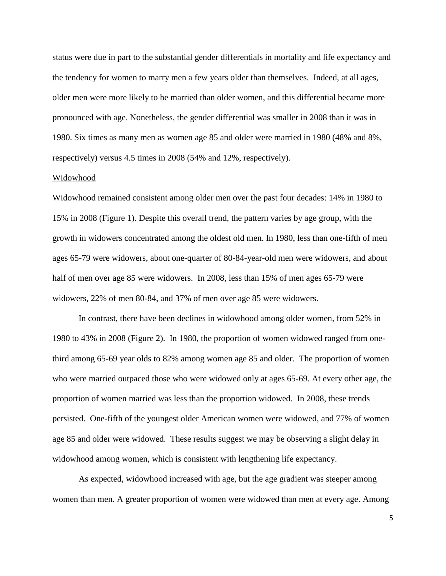status were due in part to the substantial gender differentials in mortality and life expectancy and the tendency for women to marry men a few years older than themselves. Indeed, at all ages, older men were more likely to be married than older women, and this differential became more pronounced with age. Nonetheless, the gender differential was smaller in 2008 than it was in 1980. Six times as many men as women age 85 and older were married in 1980 (48% and 8%, respectively) versus 4.5 times in 2008 (54% and 12%, respectively).

#### Widowhood

Widowhood remained consistent among older men over the past four decades: 14% in 1980 to 15% in 2008 (Figure 1). Despite this overall trend, the pattern varies by age group, with the growth in widowers concentrated among the oldest old men. In 1980, less than one-fifth of men ages 65-79 were widowers, about one-quarter of 80-84-year-old men were widowers, and about half of men over age 85 were widowers. In 2008, less than 15% of men ages 65-79 were widowers, 22% of men 80-84, and 37% of men over age 85 were widowers.

In contrast, there have been declines in widowhood among older women, from 52% in 1980 to 43% in 2008 (Figure 2). In 1980, the proportion of women widowed ranged from onethird among 65-69 year olds to 82% among women age 85 and older. The proportion of women who were married outpaced those who were widowed only at ages 65-69. At every other age, the proportion of women married was less than the proportion widowed. In 2008, these trends persisted. One-fifth of the youngest older American women were widowed, and 77% of women age 85 and older were widowed. These results suggest we may be observing a slight delay in widowhood among women, which is consistent with lengthening life expectancy.

As expected, widowhood increased with age, but the age gradient was steeper among women than men. A greater proportion of women were widowed than men at every age. Among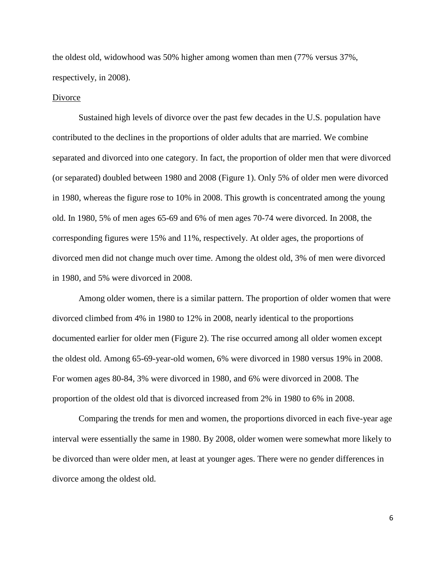the oldest old, widowhood was 50% higher among women than men (77% versus 37%, respectively, in 2008).

#### Divorce

Sustained high levels of divorce over the past few decades in the U.S. population have contributed to the declines in the proportions of older adults that are married. We combine separated and divorced into one category. In fact, the proportion of older men that were divorced (or separated) doubled between 1980 and 2008 (Figure 1). Only 5% of older men were divorced in 1980, whereas the figure rose to 10% in 2008. This growth is concentrated among the young old. In 1980, 5% of men ages 65-69 and 6% of men ages 70-74 were divorced. In 2008, the corresponding figures were 15% and 11%, respectively. At older ages, the proportions of divorced men did not change much over time. Among the oldest old, 3% of men were divorced in 1980, and 5% were divorced in 2008.

Among older women, there is a similar pattern. The proportion of older women that were divorced climbed from 4% in 1980 to 12% in 2008, nearly identical to the proportions documented earlier for older men (Figure 2). The rise occurred among all older women except the oldest old. Among 65-69-year-old women, 6% were divorced in 1980 versus 19% in 2008. For women ages 80-84, 3% were divorced in 1980, and 6% were divorced in 2008. The proportion of the oldest old that is divorced increased from 2% in 1980 to 6% in 2008.

Comparing the trends for men and women, the proportions divorced in each five-year age interval were essentially the same in 1980. By 2008, older women were somewhat more likely to be divorced than were older men, at least at younger ages. There were no gender differences in divorce among the oldest old.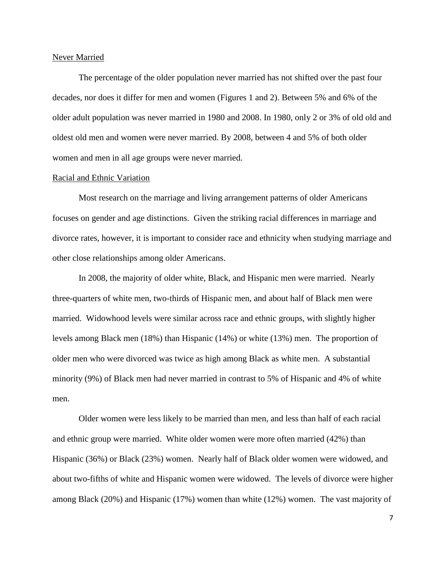#### Never Married

The percentage of the older population never married has not shifted over the past four decades, nor does it differ for men and women (Figures 1 and 2). Between 5% and 6% of the older adult population was never married in 1980 and 2008. In 1980, only 2 or 3% of old old and oldest old men and women were never married. By 2008, between 4 and 5% of both older women and men in all age groups were never married.

#### Racial and Ethnic Variation

Most research on the marriage and living arrangement patterns of older Americans focuses on gender and age distinctions. Given the striking racial differences in marriage and divorce rates, however, it is important to consider race and ethnicity when studying marriage and other close relationships among older Americans.

In 2008, the majority of older white, Black, and Hispanic men were married. Nearly three-quarters of white men, two-thirds of Hispanic men, and about half of Black men were married. Widowhood levels were similar across race and ethnic groups, with slightly higher levels among Black men (18%) than Hispanic (14%) or white (13%) men. The proportion of older men who were divorced was twice as high among Black as white men. A substantial minority (9%) of Black men had never married in contrast to 5% of Hispanic and 4% of white men.

Older women were less likely to be married than men, and less than half of each racial and ethnic group were married. White older women were more often married (42%) than Hispanic (36%) or Black (23%) women. Nearly half of Black older women were widowed, and about two-fifths of white and Hispanic women were widowed. The levels of divorce were higher among Black (20%) and Hispanic (17%) women than white (12%) women. The vast majority of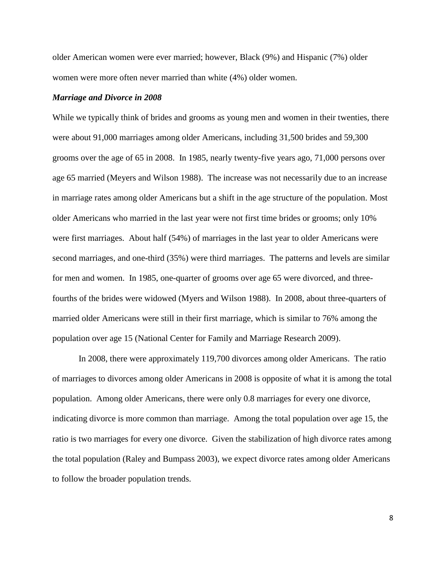older American women were ever married; however, Black (9%) and Hispanic (7%) older women were more often never married than white (4%) older women.

#### *Marriage and Divorce in 2008*

While we typically think of brides and grooms as young men and women in their twenties, there were about 91,000 marriages among older Americans, including 31,500 brides and 59,300 grooms over the age of 65 in 2008. In 1985, nearly twenty-five years ago, 71,000 persons over age 65 married (Meyers and Wilson 1988). The increase was not necessarily due to an increase in marriage rates among older Americans but a shift in the age structure of the population. Most older Americans who married in the last year were not first time brides or grooms; only 10% were first marriages. About half (54%) of marriages in the last year to older Americans were second marriages, and one-third (35%) were third marriages. The patterns and levels are similar for men and women. In 1985, one-quarter of grooms over age 65 were divorced, and threefourths of the brides were widowed (Myers and Wilson 1988). In 2008, about three-quarters of married older Americans were still in their first marriage, which is similar to 76% among the population over age 15 (National Center for Family and Marriage Research 2009).

In 2008, there were approximately 119,700 divorces among older Americans. The ratio of marriages to divorces among older Americans in 2008 is opposite of what it is among the total population. Among older Americans, there were only 0.8 marriages for every one divorce, indicating divorce is more common than marriage. Among the total population over age 15, the ratio is two marriages for every one divorce. Given the stabilization of high divorce rates among the total population (Raley and Bumpass 2003), we expect divorce rates among older Americans to follow the broader population trends.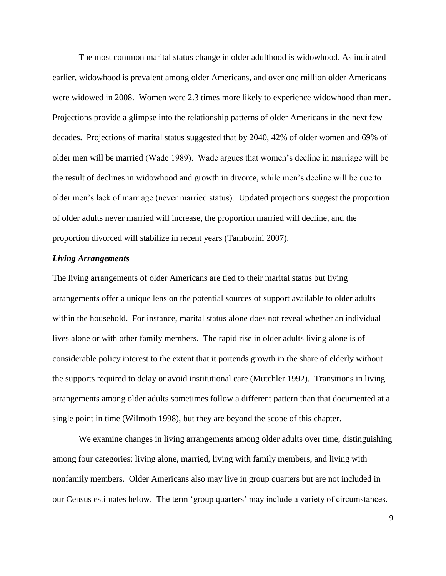The most common marital status change in older adulthood is widowhood. As indicated earlier, widowhood is prevalent among older Americans, and over one million older Americans were widowed in 2008. Women were 2.3 times more likely to experience widowhood than men. Projections provide a glimpse into the relationship patterns of older Americans in the next few decades. Projections of marital status suggested that by 2040, 42% of older women and 69% of older men will be married (Wade 1989). Wade argues that women"s decline in marriage will be the result of declines in widowhood and growth in divorce, while men"s decline will be due to older men"s lack of marriage (never married status). Updated projections suggest the proportion of older adults never married will increase, the proportion married will decline, and the proportion divorced will stabilize in recent years (Tamborini 2007).

#### *Living Arrangements*

The living arrangements of older Americans are tied to their marital status but living arrangements offer a unique lens on the potential sources of support available to older adults within the household. For instance, marital status alone does not reveal whether an individual lives alone or with other family members. The rapid rise in older adults living alone is of considerable policy interest to the extent that it portends growth in the share of elderly without the supports required to delay or avoid institutional care (Mutchler 1992). Transitions in living arrangements among older adults sometimes follow a different pattern than that documented at a single point in time (Wilmoth 1998), but they are beyond the scope of this chapter.

We examine changes in living arrangements among older adults over time, distinguishing among four categories: living alone, married, living with family members, and living with nonfamily members. Older Americans also may live in group quarters but are not included in our Census estimates below. The term "group quarters" may include a variety of circumstances.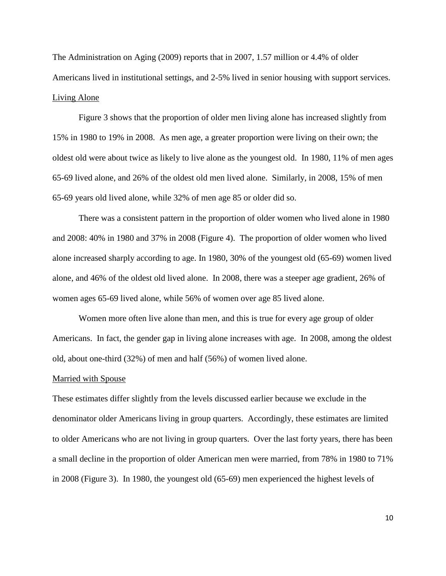The Administration on Aging (2009) reports that in 2007, 1.57 million or 4.4% of older Americans lived in institutional settings, and 2-5% lived in senior housing with support services. Living Alone

Figure 3 shows that the proportion of older men living alone has increased slightly from 15% in 1980 to 19% in 2008. As men age, a greater proportion were living on their own; the oldest old were about twice as likely to live alone as the youngest old. In 1980, 11% of men ages 65-69 lived alone, and 26% of the oldest old men lived alone. Similarly, in 2008, 15% of men 65-69 years old lived alone, while 32% of men age 85 or older did so.

There was a consistent pattern in the proportion of older women who lived alone in 1980 and 2008: 40% in 1980 and 37% in 2008 (Figure 4). The proportion of older women who lived alone increased sharply according to age. In 1980, 30% of the youngest old (65-69) women lived alone, and 46% of the oldest old lived alone. In 2008, there was a steeper age gradient, 26% of women ages 65-69 lived alone, while 56% of women over age 85 lived alone.

Women more often live alone than men, and this is true for every age group of older Americans. In fact, the gender gap in living alone increases with age. In 2008, among the oldest old, about one-third (32%) of men and half (56%) of women lived alone.

#### Married with Spouse

These estimates differ slightly from the levels discussed earlier because we exclude in the denominator older Americans living in group quarters. Accordingly, these estimates are limited to older Americans who are not living in group quarters. Over the last forty years, there has been a small decline in the proportion of older American men were married, from 78% in 1980 to 71% in 2008 (Figure 3). In 1980, the youngest old (65-69) men experienced the highest levels of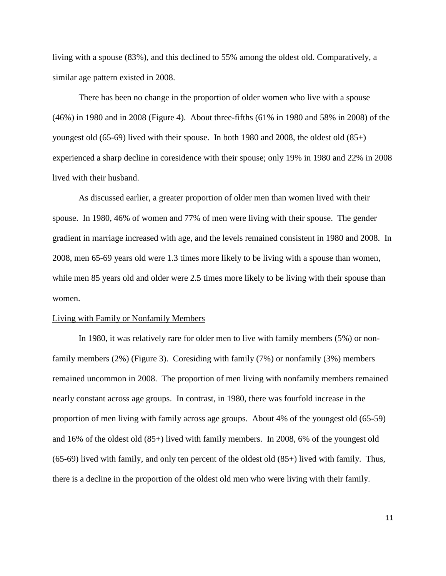living with a spouse (83%), and this declined to 55% among the oldest old. Comparatively, a similar age pattern existed in 2008.

There has been no change in the proportion of older women who live with a spouse (46%) in 1980 and in 2008 (Figure 4). About three-fifths (61% in 1980 and 58% in 2008) of the youngest old (65-69) lived with their spouse. In both 1980 and 2008, the oldest old (85+) experienced a sharp decline in coresidence with their spouse; only 19% in 1980 and 22% in 2008 lived with their husband.

As discussed earlier, a greater proportion of older men than women lived with their spouse. In 1980, 46% of women and 77% of men were living with their spouse. The gender gradient in marriage increased with age, and the levels remained consistent in 1980 and 2008. In 2008, men 65-69 years old were 1.3 times more likely to be living with a spouse than women, while men 85 years old and older were 2.5 times more likely to be living with their spouse than women.

#### Living with Family or Nonfamily Members

In 1980, it was relatively rare for older men to live with family members (5%) or nonfamily members (2%) (Figure 3). Coresiding with family (7%) or nonfamily (3%) members remained uncommon in 2008. The proportion of men living with nonfamily members remained nearly constant across age groups. In contrast, in 1980, there was fourfold increase in the proportion of men living with family across age groups. About 4% of the youngest old (65-59) and 16% of the oldest old (85+) lived with family members. In 2008, 6% of the youngest old (65-69) lived with family, and only ten percent of the oldest old (85+) lived with family. Thus, there is a decline in the proportion of the oldest old men who were living with their family.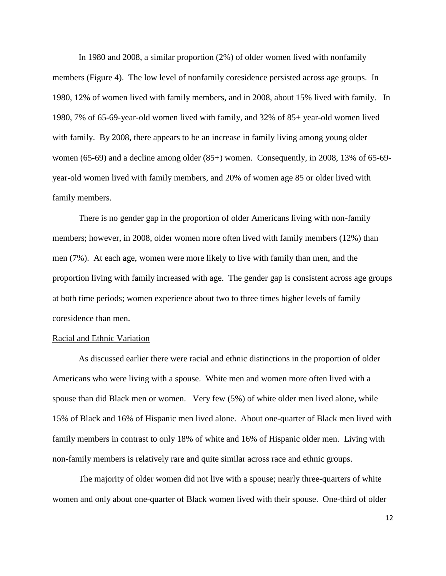In 1980 and 2008, a similar proportion (2%) of older women lived with nonfamily members (Figure 4). The low level of nonfamily coresidence persisted across age groups. In 1980, 12% of women lived with family members, and in 2008, about 15% lived with family. In 1980, 7% of 65-69-year-old women lived with family, and 32% of 85+ year-old women lived with family. By 2008, there appears to be an increase in family living among young older women (65-69) and a decline among older (85+) women. Consequently, in 2008, 13% of 65-69 year-old women lived with family members, and 20% of women age 85 or older lived with family members.

There is no gender gap in the proportion of older Americans living with non-family members; however, in 2008, older women more often lived with family members (12%) than men (7%). At each age, women were more likely to live with family than men, and the proportion living with family increased with age. The gender gap is consistent across age groups at both time periods; women experience about two to three times higher levels of family coresidence than men.

#### Racial and Ethnic Variation

As discussed earlier there were racial and ethnic distinctions in the proportion of older Americans who were living with a spouse. White men and women more often lived with a spouse than did Black men or women. Very few (5%) of white older men lived alone, while 15% of Black and 16% of Hispanic men lived alone. About one-quarter of Black men lived with family members in contrast to only 18% of white and 16% of Hispanic older men. Living with non-family members is relatively rare and quite similar across race and ethnic groups.

The majority of older women did not live with a spouse; nearly three-quarters of white women and only about one-quarter of Black women lived with their spouse. One-third of older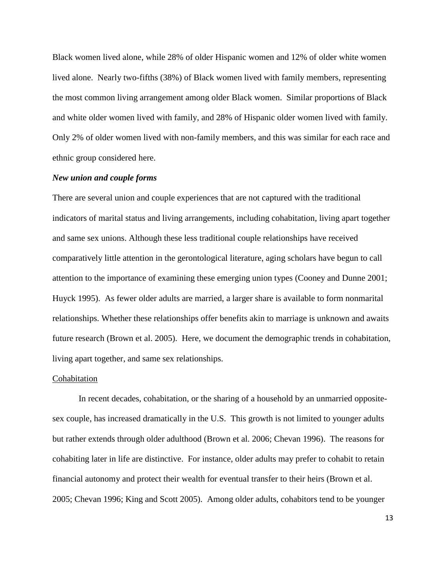Black women lived alone, while 28% of older Hispanic women and 12% of older white women lived alone. Nearly two-fifths (38%) of Black women lived with family members, representing the most common living arrangement among older Black women. Similar proportions of Black and white older women lived with family, and 28% of Hispanic older women lived with family. Only 2% of older women lived with non-family members, and this was similar for each race and ethnic group considered here.

#### *New union and couple forms*

There are several union and couple experiences that are not captured with the traditional indicators of marital status and living arrangements, including cohabitation, living apart together and same sex unions. Although these less traditional couple relationships have received comparatively little attention in the gerontological literature, aging scholars have begun to call attention to the importance of examining these emerging union types (Cooney and Dunne 2001; Huyck 1995). As fewer older adults are married, a larger share is available to form nonmarital relationships. Whether these relationships offer benefits akin to marriage is unknown and awaits future research (Brown et al. 2005). Here, we document the demographic trends in cohabitation, living apart together, and same sex relationships.

#### Cohabitation

In recent decades, cohabitation, or the sharing of a household by an unmarried oppositesex couple, has increased dramatically in the U.S. This growth is not limited to younger adults but rather extends through older adulthood (Brown et al. 2006; Chevan 1996). The reasons for cohabiting later in life are distinctive. For instance, older adults may prefer to cohabit to retain financial autonomy and protect their wealth for eventual transfer to their heirs (Brown et al. 2005; Chevan 1996; King and Scott 2005). Among older adults, cohabitors tend to be younger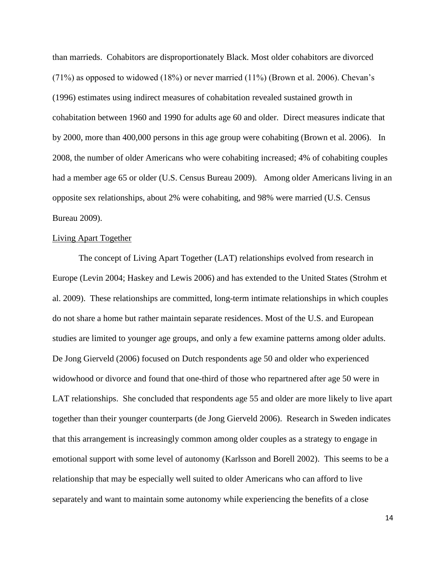than marrieds. Cohabitors are disproportionately Black. Most older cohabitors are divorced  $(71%)$  as opposed to widowed  $(18%)$  or never married  $(11%)$  (Brown et al. 2006). Chevan's (1996) estimates using indirect measures of cohabitation revealed sustained growth in cohabitation between 1960 and 1990 for adults age 60 and older. Direct measures indicate that by 2000, more than 400,000 persons in this age group were cohabiting (Brown et al. 2006). In 2008, the number of older Americans who were cohabiting increased; 4% of cohabiting couples had a member age 65 or older (U.S. Census Bureau 2009). Among older Americans living in an opposite sex relationships, about 2% were cohabiting, and 98% were married (U.S. Census Bureau 2009).

#### Living Apart Together

The concept of Living Apart Together (LAT) relationships evolved from research in Europe (Levin 2004; Haskey and Lewis 2006) and has extended to the United States (Strohm et al. 2009). These relationships are committed, long-term intimate relationships in which couples do not share a home but rather maintain separate residences. Most of the U.S. and European studies are limited to younger age groups, and only a few examine patterns among older adults. De Jong Gierveld (2006) focused on Dutch respondents age 50 and older who experienced widowhood or divorce and found that one-third of those who repartnered after age 50 were in LAT relationships. She concluded that respondents age 55 and older are more likely to live apart together than their younger counterparts (de Jong Gierveld 2006). Research in Sweden indicates that this arrangement is increasingly common among older couples as a strategy to engage in emotional support with some level of autonomy (Karlsson and Borell 2002). This seems to be a relationship that may be especially well suited to older Americans who can afford to live separately and want to maintain some autonomy while experiencing the benefits of a close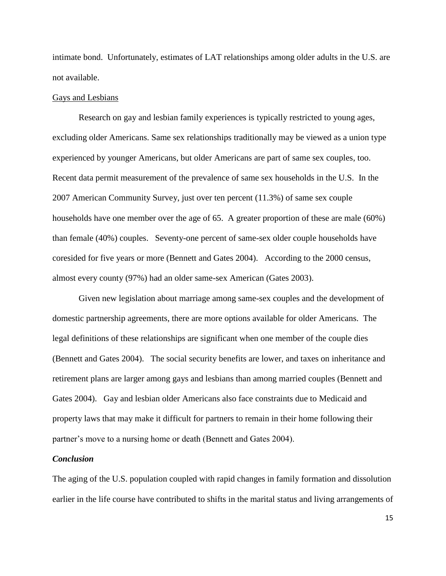intimate bond. Unfortunately, estimates of LAT relationships among older adults in the U.S. are not available.

#### Gays and Lesbians

Research on gay and lesbian family experiences is typically restricted to young ages, excluding older Americans. Same sex relationships traditionally may be viewed as a union type experienced by younger Americans, but older Americans are part of same sex couples, too. Recent data permit measurement of the prevalence of same sex households in the U.S. In the 2007 American Community Survey, just over ten percent (11.3%) of same sex couple households have one member over the age of 65. A greater proportion of these are male (60%) than female (40%) couples. Seventy-one percent of same-sex older couple households have coresided for five years or more (Bennett and Gates 2004). According to the 2000 census, almost every county (97%) had an older same-sex American (Gates 2003).

Given new legislation about marriage among same-sex couples and the development of domestic partnership agreements, there are more options available for older Americans. The legal definitions of these relationships are significant when one member of the couple dies (Bennett and Gates 2004). The social security benefits are lower, and taxes on inheritance and retirement plans are larger among gays and lesbians than among married couples (Bennett and Gates 2004). Gay and lesbian older Americans also face constraints due to Medicaid and property laws that may make it difficult for partners to remain in their home following their partner's move to a nursing home or death (Bennett and Gates 2004).

#### *Conclusion*

The aging of the U.S. population coupled with rapid changes in family formation and dissolution earlier in the life course have contributed to shifts in the marital status and living arrangements of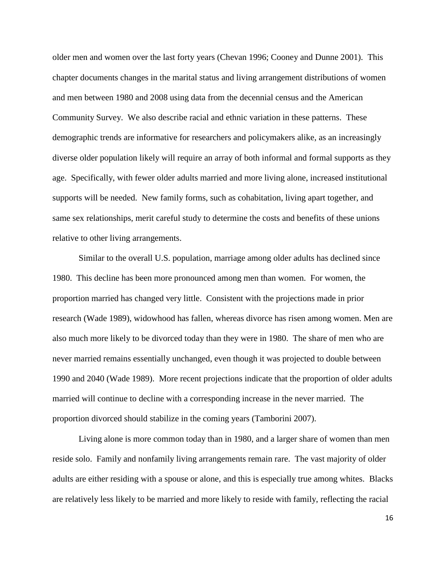older men and women over the last forty years (Chevan 1996; Cooney and Dunne 2001). This chapter documents changes in the marital status and living arrangement distributions of women and men between 1980 and 2008 using data from the decennial census and the American Community Survey. We also describe racial and ethnic variation in these patterns. These demographic trends are informative for researchers and policymakers alike, as an increasingly diverse older population likely will require an array of both informal and formal supports as they age. Specifically, with fewer older adults married and more living alone, increased institutional supports will be needed. New family forms, such as cohabitation, living apart together, and same sex relationships, merit careful study to determine the costs and benefits of these unions relative to other living arrangements.

Similar to the overall U.S. population, marriage among older adults has declined since 1980. This decline has been more pronounced among men than women. For women, the proportion married has changed very little. Consistent with the projections made in prior research (Wade 1989), widowhood has fallen, whereas divorce has risen among women. Men are also much more likely to be divorced today than they were in 1980. The share of men who are never married remains essentially unchanged, even though it was projected to double between 1990 and 2040 (Wade 1989). More recent projections indicate that the proportion of older adults married will continue to decline with a corresponding increase in the never married. The proportion divorced should stabilize in the coming years (Tamborini 2007).

Living alone is more common today than in 1980, and a larger share of women than men reside solo. Family and nonfamily living arrangements remain rare. The vast majority of older adults are either residing with a spouse or alone, and this is especially true among whites. Blacks are relatively less likely to be married and more likely to reside with family, reflecting the racial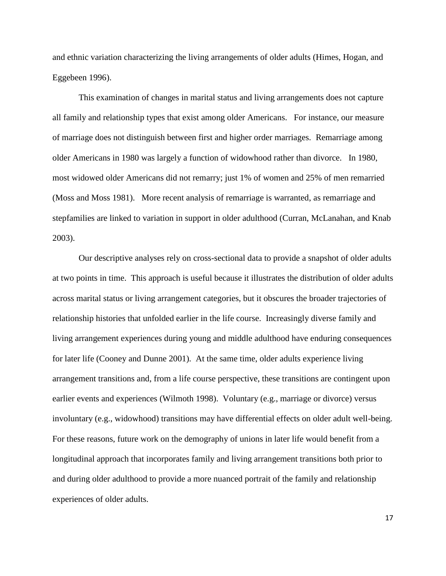and ethnic variation characterizing the living arrangements of older adults (Himes, Hogan, and Eggebeen 1996).

This examination of changes in marital status and living arrangements does not capture all family and relationship types that exist among older Americans. For instance, our measure of marriage does not distinguish between first and higher order marriages. Remarriage among older Americans in 1980 was largely a function of widowhood rather than divorce. In 1980, most widowed older Americans did not remarry; just 1% of women and 25% of men remarried (Moss and Moss 1981). More recent analysis of remarriage is warranted, as remarriage and stepfamilies are linked to variation in support in older adulthood (Curran, McLanahan, and Knab 2003).

Our descriptive analyses rely on cross-sectional data to provide a snapshot of older adults at two points in time. This approach is useful because it illustrates the distribution of older adults across marital status or living arrangement categories, but it obscures the broader trajectories of relationship histories that unfolded earlier in the life course. Increasingly diverse family and living arrangement experiences during young and middle adulthood have enduring consequences for later life (Cooney and Dunne 2001). At the same time, older adults experience living arrangement transitions and, from a life course perspective, these transitions are contingent upon earlier events and experiences (Wilmoth 1998). Voluntary (e.g., marriage or divorce) versus involuntary (e.g., widowhood) transitions may have differential effects on older adult well-being. For these reasons, future work on the demography of unions in later life would benefit from a longitudinal approach that incorporates family and living arrangement transitions both prior to and during older adulthood to provide a more nuanced portrait of the family and relationship experiences of older adults.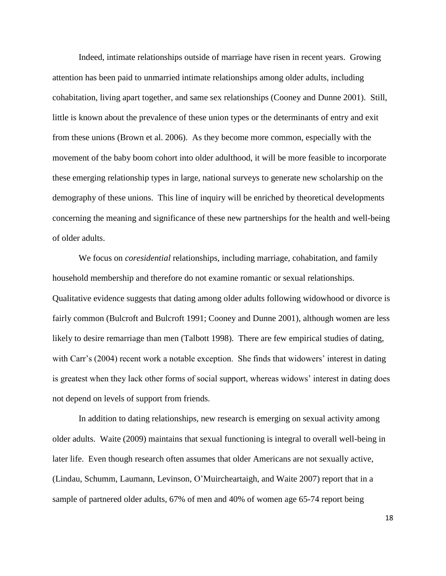Indeed, intimate relationships outside of marriage have risen in recent years. Growing attention has been paid to unmarried intimate relationships among older adults, including cohabitation, living apart together, and same sex relationships (Cooney and Dunne 2001). Still, little is known about the prevalence of these union types or the determinants of entry and exit from these unions (Brown et al. 2006). As they become more common, especially with the movement of the baby boom cohort into older adulthood, it will be more feasible to incorporate these emerging relationship types in large, national surveys to generate new scholarship on the demography of these unions. This line of inquiry will be enriched by theoretical developments concerning the meaning and significance of these new partnerships for the health and well-being of older adults.

We focus on *coresidential* relationships, including marriage, cohabitation, and family household membership and therefore do not examine romantic or sexual relationships. Qualitative evidence suggests that dating among older adults following widowhood or divorce is fairly common (Bulcroft and Bulcroft 1991; Cooney and Dunne 2001), although women are less likely to desire remarriage than men (Talbott 1998). There are few empirical studies of dating, with Carr's (2004) recent work a notable exception. She finds that widowers' interest in dating is greatest when they lack other forms of social support, whereas widows" interest in dating does not depend on levels of support from friends.

In addition to dating relationships, new research is emerging on sexual activity among older adults. Waite (2009) maintains that sexual functioning is integral to overall well-being in later life. Even though research often assumes that older Americans are not sexually active, (Lindau, Schumm, Laumann, Levinson, O"Muircheartaigh, and Waite 2007) report that in a sample of partnered older adults, 67% of men and 40% of women age 65-74 report being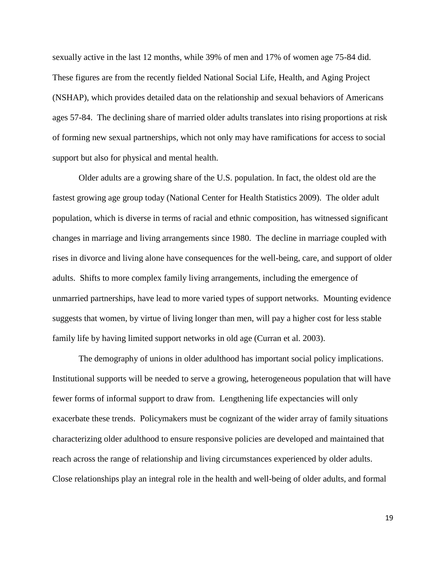sexually active in the last 12 months, while 39% of men and 17% of women age 75-84 did. These figures are from the recently fielded National Social Life, Health, and Aging Project (NSHAP), which provides detailed data on the relationship and sexual behaviors of Americans ages 57-84. The declining share of married older adults translates into rising proportions at risk of forming new sexual partnerships, which not only may have ramifications for access to social support but also for physical and mental health.

Older adults are a growing share of the U.S. population. In fact, the oldest old are the fastest growing age group today (National Center for Health Statistics 2009). The older adult population, which is diverse in terms of racial and ethnic composition, has witnessed significant changes in marriage and living arrangements since 1980. The decline in marriage coupled with rises in divorce and living alone have consequences for the well-being, care, and support of older adults. Shifts to more complex family living arrangements, including the emergence of unmarried partnerships, have lead to more varied types of support networks. Mounting evidence suggests that women, by virtue of living longer than men, will pay a higher cost for less stable family life by having limited support networks in old age (Curran et al. 2003).

The demography of unions in older adulthood has important social policy implications. Institutional supports will be needed to serve a growing, heterogeneous population that will have fewer forms of informal support to draw from. Lengthening life expectancies will only exacerbate these trends. Policymakers must be cognizant of the wider array of family situations characterizing older adulthood to ensure responsive policies are developed and maintained that reach across the range of relationship and living circumstances experienced by older adults. Close relationships play an integral role in the health and well-being of older adults, and formal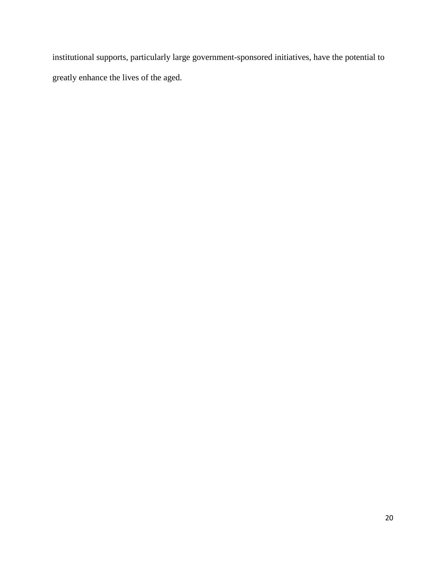institutional supports, particularly large government-sponsored initiatives, have the potential to greatly enhance the lives of the aged.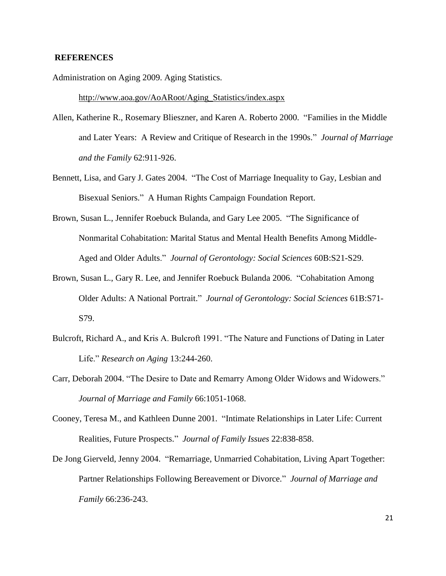#### **REFERENCES**

Administration on Aging 2009. Aging Statistics.

http://www.aoa.gov/AoARoot/Aging\_Statistics/index.aspx

- Allen, Katherine R., Rosemary Blieszner, and Karen A. Roberto 2000. "Families in the Middle and Later Years: A Review and Critique of Research in the 1990s." *Journal of Marriage and the Family* 62:911-926.
- Bennett, Lisa, and Gary J. Gates 2004. "The Cost of Marriage Inequality to Gay, Lesbian and Bisexual Seniors." A Human Rights Campaign Foundation Report.
- Brown, Susan L., Jennifer Roebuck Bulanda, and Gary Lee 2005. "The Significance of Nonmarital Cohabitation: Marital Status and Mental Health Benefits Among Middle-Aged and Older Adults." *Journal of Gerontology: Social Sciences* 60B:S21-S29.
- Brown, Susan L., Gary R. Lee, and Jennifer Roebuck Bulanda 2006. "Cohabitation Among Older Adults: A National Portrait." *Journal of Gerontology: Social Sciences* 61B:S71- S79.
- Bulcroft, Richard A., and Kris A. Bulcroft 1991. "The Nature and Functions of Dating in Later Life." *Research on Aging* 13:244-260.
- Carr, Deborah 2004. "The Desire to Date and Remarry Among Older Widows and Widowers." *Journal of Marriage and Family* 66:1051-1068.
- Cooney, Teresa M., and Kathleen Dunne 2001. "Intimate Relationships in Later Life: Current Realities, Future Prospects." *Journal of Family Issues* 22:838-858.
- De Jong Gierveld, Jenny 2004. "Remarriage, Unmarried Cohabitation, Living Apart Together: Partner Relationships Following Bereavement or Divorce." *Journal of Marriage and Family* 66:236-243.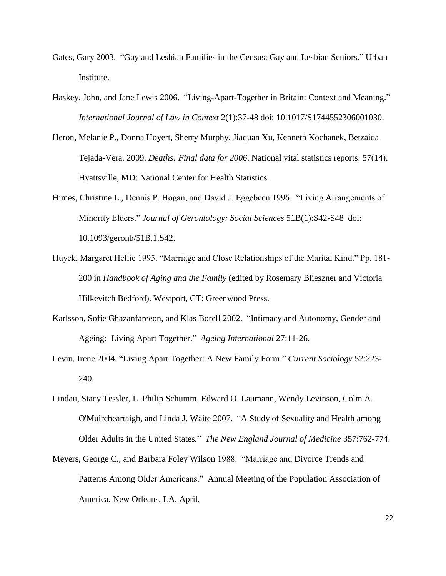- Gates, Gary 2003. "Gay and Lesbian Families in the Census: Gay and Lesbian Seniors." Urban Institute.
- Haskey, John, and Jane Lewis 2006. "Living-Apart-Together in Britain: Context and Meaning." *International Journal of Law in Context* 2(1):37-48 doi: 10.1017/S1744552306001030.
- Heron, Melanie P., Donna Hoyert, Sherry Murphy, Jiaquan Xu, Kenneth Kochanek, Betzaida Tejada-Vera. 2009. *Deaths: Final data for 2006*. National vital statistics reports: 57(14). Hyattsville, MD: National Center for Health Statistics.
- Himes, Christine L., Dennis P. Hogan, and David J. Eggebeen 1996. "Living Arrangements of Minority Elders." *Journal of Gerontology: Social Sciences* 51B(1):S42-S48 doi: 10.1093/geronb/51B.1.S42.
- Huyck, Margaret Hellie 1995. "Marriage and Close Relationships of the Marital Kind." Pp. 181- 200 in *Handbook of Aging and the Family* (edited by Rosemary Blieszner and Victoria Hilkevitch Bedford). Westport, CT: Greenwood Press.
- Karlsson, Sofie Ghazanfareeon, and Klas Borell 2002. "Intimacy and Autonomy, Gender and Ageing: Living Apart Together." *Ageing International* 27:11-26.
- Levin, Irene 2004. "Living Apart Together: A New Family Form." *Current Sociology* 52:223- 240.
- Lindau, Stacy Tessler, L. Philip Schumm, Edward O. Laumann, Wendy Levinson, Colm A. O'Muircheartaigh, and Linda J. Waite 2007. "A Study of Sexuality and Health among Older Adults in the United States*.*" *The New England Journal of Medicine* 357:762-774.
- Meyers, George C., and Barbara Foley Wilson 1988. "Marriage and Divorce Trends and Patterns Among Older Americans." Annual Meeting of the Population Association of America, New Orleans, LA, April.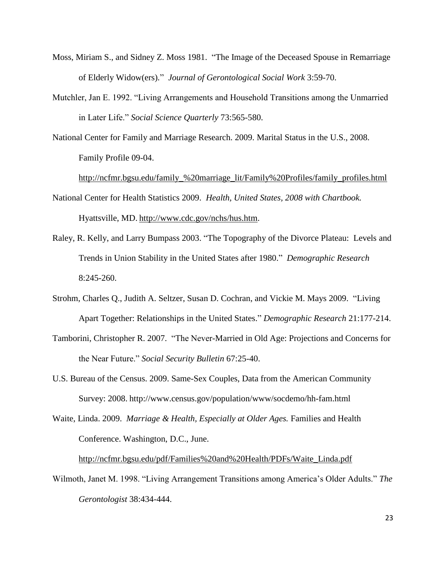- Moss, Miriam S., and Sidney Z. Moss 1981. "The Image of the Deceased Spouse in Remarriage of Elderly Widow(ers)." *Journal of Gerontological Social Work* 3:59-70.
- Mutchler, Jan E. 1992. "Living Arrangements and Household Transitions among the Unmarried in Later Life." *Social Science Quarterly* 73:565-580.
- National Center for Family and Marriage Research. 2009. Marital Status in the U.S., 2008. Family Profile 09-04.

http://ncfmr.bgsu.edu/family\_%20marriage\_lit/Family%20Profiles/family\_profiles.html

- National Center for Health Statistics 2009. *Health, United States, 2008 with Chartbook.* Hyattsville, MD. [http://www.cdc.gov/nchs/hus.htm.](http://www.cdc.gov/nchs/hus.htm)
- Raley, R. Kelly, and Larry Bumpass 2003. "The Topography of the Divorce Plateau: Levels and Trends in Union Stability in the United States after 1980." *Demographic Research* 8:245-260.
- Strohm, Charles Q., Judith A. Seltzer, Susan D. Cochran, and Vickie M. Mays 2009. "Living Apart Together: Relationships in the United States." *Demographic Research* 21:177-214.
- Tamborini, Christopher R. 2007. "The Never-Married in Old Age: Projections and Concerns for the Near Future." *Social Security Bulletin* 67:25-40.
- U.S. Bureau of the Census. 2009. Same-Sex Couples, Data from the American Community Survey: 2008. http://www.census.gov/population/www/socdemo/hh-fam.html
- Waite, Linda. 2009. *Marriage & Health, Especially at Older Ages.* Families and Health Conference. Washington, D.C., June.

[http://ncfmr.bgsu.edu/pdf/Families%20and%20Health/PDFs/Waite\\_Linda.pdf](http://ncfmr.bgsu.edu/pdf/Families%20and%20Health/PDFs/Waite_Linda.pdf)

Wilmoth, Janet M. 1998. "Living Arrangement Transitions among America"s Older Adults." *The Gerontologist* 38:434-444.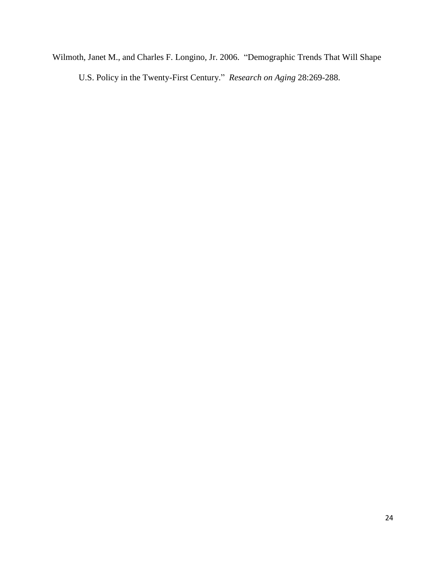Wilmoth, Janet M., and Charles F. Longino, Jr. 2006. "Demographic Trends That Will Shape U.S. Policy in the Twenty-First Century." *Research on Aging* 28:269-288.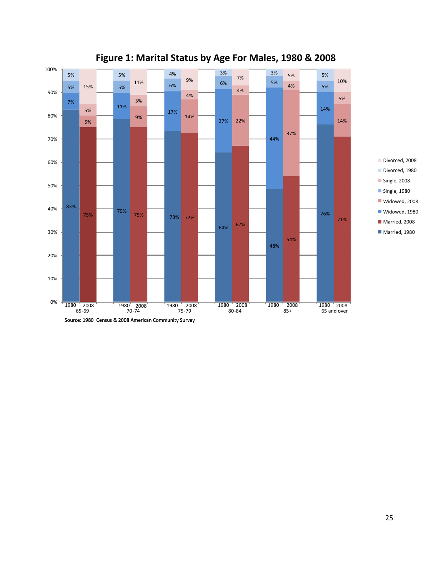

## **Figure 1: Marital Status by Age For Males, 1980 & 2008**

Divorced, 2008 Divorced, 1980 Single, 2008 Single, 1980 Widowed, 2008 Widowed, 1980 Married, 2008 Married, 1980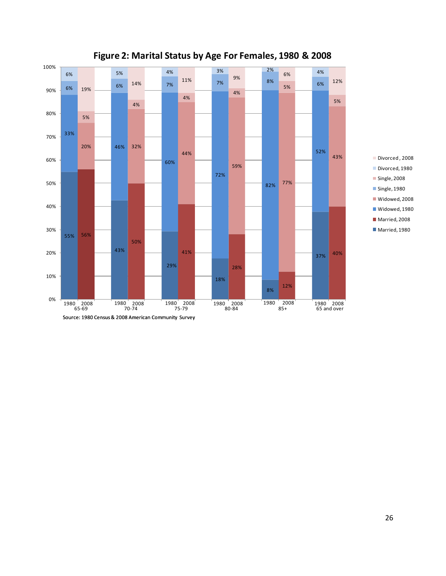

## **Figure 2: Marital Status by Age For Females, 1980 & 2008**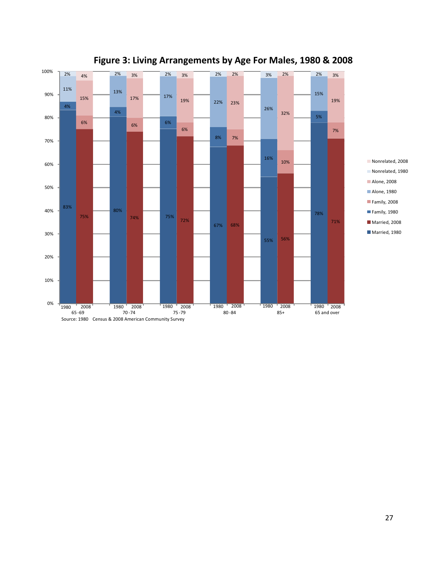

## **Figure 3: Living Arrangements by Age For Males, 1980 & 2008**